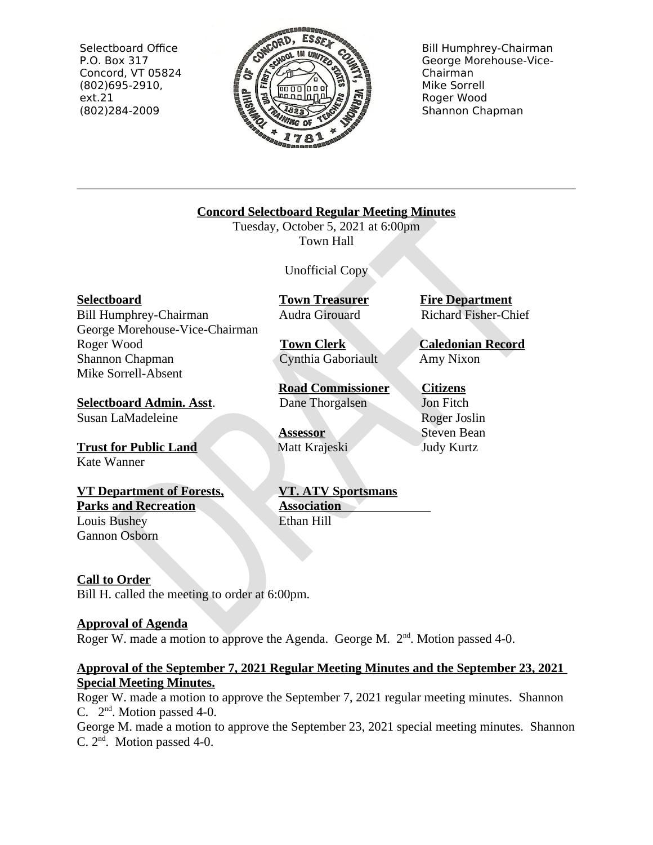Selectboard Office P.O. Box 317 Concord, VT 05824  $(802)695-2910,$  $ext.21$ (802)284-2009



**Bill Humphrey-Chairman** George Morehouse-Vice-Chairman Mike Sorrell Roger Wood Shannon Chapman

**Concord Selectboard Regular Meeting Minutes** 

Tuesday, October 5, 2021 at 6:00pm Town Hall

**Unofficial Copy** 

**Town Treasurer** Audra Girouard

**Town Clerk** Cynthia Gaboriault

**Road Commissioner** Dane Thorgalsen

**VT. ATV Sportsmans** 

**Assessor** Matt Krajeski

**Association** 

Ethan Hill

**Fire Department Richard Fisher-Chief** 

**Caledonian Record** Amy Nixon

**Citizens** Jon Fitch Roger Joslin **Steven Bean Judy Kurtz** 

Susan LaMadeleine

**Trust for Public Land** Kate Wanner

**VT Department of Forests, Parks and Recreation Louis Bushey** Gannon Osborn

# **Call to Order**

Bill H. called the meeting to order at 6:00pm.

# **Approval of Agenda**

Roger W. made a motion to approve the Agenda. George M. 2<sup>nd</sup>. Motion passed 4-0.

# Approval of the September 7, 2021 Regular Meeting Minutes and the September 23, 2021 **Special Meeting Minutes.**

Roger W. made a motion to approve the September 7, 2021 regular meeting minutes. Shannon C.  $2<sup>nd</sup>$ . Motion passed 4-0.

George M. made a motion to approve the September 23, 2021 special meeting minutes. Shannon C.  $2<sup>nd</sup>$ . Motion passed 4-0.

Bill Humphrey-Chairman George Morehouse-Vice-Chairman Roger Wood Shannon Chapman

Mike Sorrell-Absent

**Selectboard** 

**Selectboard Admin. Asst.**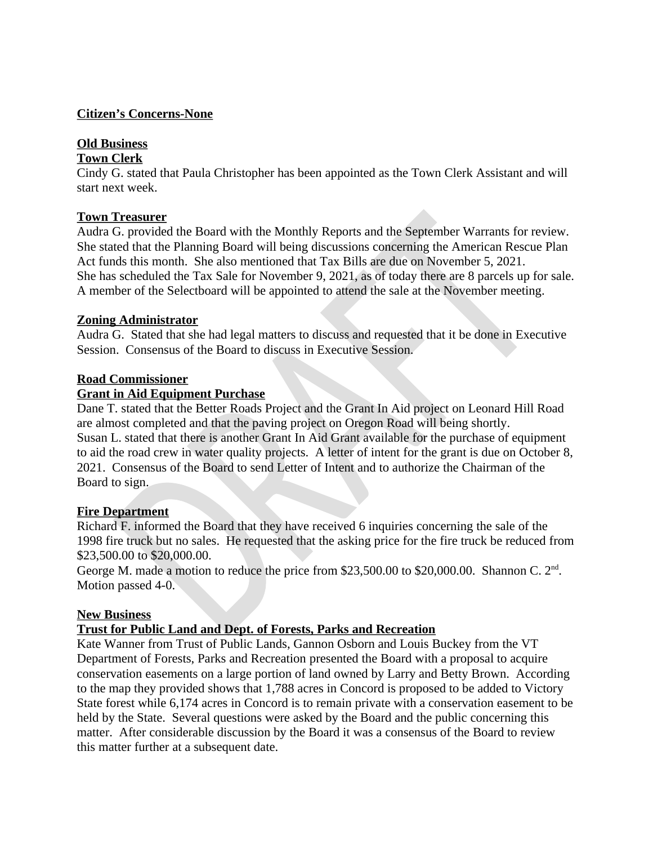# **Citizen's Concerns-None**

# **Old Business**

## **Town Clerk**

Cindy G. stated that Paula Christopher has been appointed as the Town Clerk Assistant and will start next week.

# **Town Treasurer**

Audra G. provided the Board with the Monthly Reports and the September Warrants for review. She stated that the Planning Board will being discussions concerning the American Rescue Plan Act funds this month. She also mentioned that Tax Bills are due on November 5, 2021. She has scheduled the Tax Sale for November 9, 2021, as of today there are 8 parcels up for sale. A member of the Selectboard will be appointed to attend the sale at the November meeting.

## **Zoning Administrator**

Audra G. Stated that she had legal matters to discuss and requested that it be done in Executive Session. Consensus of the Board to discuss in Executive Session.

### **Road Commissioner**

# **Grant in Aid Equipment Purchase**

Dane T. stated that the Better Roads Project and the Grant In Aid project on Leonard Hill Road are almost completed and that the paving project on Oregon Road will being shortly. Susan L. stated that there is another Grant In Aid Grant available for the purchase of equipment to aid the road crew in water quality projects. A letter of intent for the grant is due on October 8, 2021. Consensus of the Board to send Letter of Intent and to authorize the Chairman of the Board to sign.

### **Fire Department**

Richard F. informed the Board that they have received 6 inquiries concerning the sale of the 1998 fire truck but no sales. He requested that the asking price for the fire truck be reduced from \$23,500.00 to \$20,000.00.

George M. made a motion to reduce the price from \$23,500.00 to \$20,000.00. Shannon C. 2<sup>nd</sup>. Motion passed 4-0.

### **New Business**

# **Trust for Public Land and Dept. of Forests, Parks and Recreation**

Kate Wanner from Trust of Public Lands, Gannon Osborn and Louis Buckey from the VT Department of Forests, Parks and Recreation presented the Board with a proposal to acquire conservation easements on a large portion of land owned by Larry and Betty Brown. According to the map they provided shows that 1,788 acres in Concord is proposed to be added to Victory State forest while 6,174 acres in Concord is to remain private with a conservation easement to be held by the State. Several questions were asked by the Board and the public concerning this matter. After considerable discussion by the Board it was a consensus of the Board to review this matter further at a subsequent date.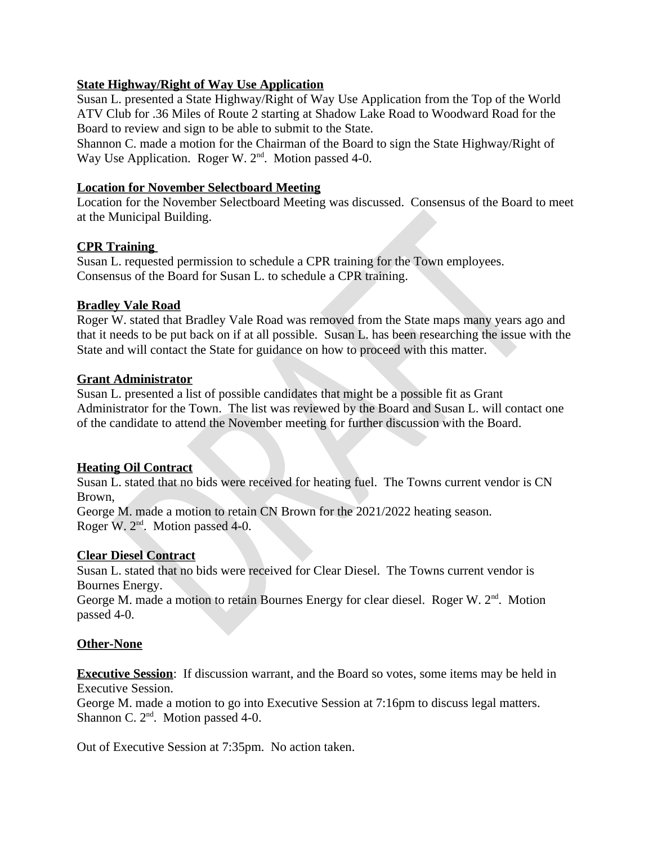# **State Highway/Right of Way Use Application**

Susan L. presented a State Highway/Right of Way Use Application from the Top of the World ATV Club for .36 Miles of Route 2 starting at Shadow Lake Road to Woodward Road for the Board to review and sign to be able to submit to the State.

Shannon C. made a motion for the Chairman of the Board to sign the State Highway/Right of Way Use Application. Roger W. 2<sup>nd</sup>. Motion passed 4-0.

## **Location for November Selectboard Meeting**

Location for the November Selectboard Meeting was discussed. Consensus of the Board to meet at the Municipal Building.

### **CPR Training**

Susan L. requested permission to schedule a CPR training for the Town employees. Consensus of the Board for Susan L. to schedule a CPR training.

## **Bradley Vale Road**

Roger W. stated that Bradley Vale Road was removed from the State maps many years ago and that it needs to be put back on if at all possible. Susan L. has been researching the issue with the State and will contact the State for guidance on how to proceed with this matter.

### **Grant Administrator**

Susan L. presented a list of possible candidates that might be a possible fit as Grant Administrator for the Town. The list was reviewed by the Board and Susan L. will contact one of the candidate to attend the November meeting for further discussion with the Board.

# **Heating Oil Contract**

Susan L. stated that no bids were received for heating fuel. The Towns current vendor is CN Brown.

George M. made a motion to retain CN Brown for the 2021/2022 heating season. Roger W. 2<sup>nd</sup>. Motion passed 4-0.

### **Clear Diesel Contract**

Susan L, stated that no bids were received for Clear Diesel. The Towns current vendor is Bournes Energy.

George M. made a motion to retain Bournes Energy for clear diesel. Roger W. 2<sup>nd</sup>. Motion passed 4-0.

### **Other-None**

**Executive Session:** If discussion warrant, and the Board so votes, some items may be held in **Executive Session.** 

George M. made a motion to go into Executive Session at 7:16pm to discuss legal matters. Shannon C. 2<sup>nd</sup>. Motion passed 4-0.

Out of Executive Session at 7:35pm. No action taken.